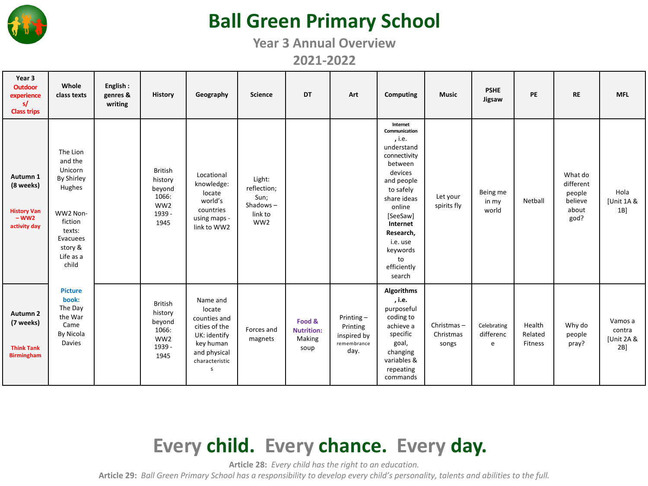

## **Ball Green Primary School**

**Year 3 Annual Overview**

**2021-2022**

| Year 3<br><b>Outdoor</b><br>experience<br>s/<br><b>Class trips</b>         | Whole<br>class texts                                                                                                                        | English:<br>genres &<br>writing | <b>History</b>                                                                    | Geography                                                                                                               | Science                                                                 | <b>DT</b>                                     | Art                                                            | <b>Computing</b>                                                                                                                                                                                                                        | <b>Music</b>                     | <b>PSHE</b><br>Jigsaw         | PE                           | <b>RE</b>                                                  | <b>MFL</b>                            |
|----------------------------------------------------------------------------|---------------------------------------------------------------------------------------------------------------------------------------------|---------------------------------|-----------------------------------------------------------------------------------|-------------------------------------------------------------------------------------------------------------------------|-------------------------------------------------------------------------|-----------------------------------------------|----------------------------------------------------------------|-----------------------------------------------------------------------------------------------------------------------------------------------------------------------------------------------------------------------------------------|----------------------------------|-------------------------------|------------------------------|------------------------------------------------------------|---------------------------------------|
| Autumn 1<br>(8 weeks)<br>History Van<br>- WW2<br>activity day              | The Lion<br>and the<br>Unicorn<br><b>By Shirley</b><br>Hughes<br>WW2 Non-<br>fiction<br>texts:<br>Evacuees<br>story &<br>Life as a<br>child |                                 | <b>British</b><br>history<br>beyond<br>1066:<br>WW <sub>2</sub><br>1939 -<br>1945 | Locational<br>knowledge:<br>locate<br>world's<br>countries<br>using maps -<br>link to WW2                               | Light:<br>reflection;<br>Sun;<br>Shadows-<br>link to<br>WW <sub>2</sub> |                                               |                                                                | Internet<br>Communication<br>, i.e.<br>understand<br>connectivity<br>between<br>devices<br>and people<br>to safely<br>share ideas<br>online<br>[SeeSaw]<br>Internet<br>Research,<br>i.e. use<br>keywords<br>to<br>efficiently<br>search | Let your<br>spirits fly          | Being me<br>in my<br>world    | Netball                      | What do<br>different<br>people<br>believe<br>about<br>god? | Hola<br>[Unit 1A &<br>1B              |
| Autumn <sub>2</sub><br>(7 weeks)<br><b>Think Tank</b><br><b>Birmingham</b> | <b>Picture</b><br>book:<br>The Day<br>the War<br>Came<br>By Nicola<br><b>Davies</b>                                                         |                                 | <b>British</b><br>history<br>beyond<br>1066:<br>WW2<br>1939 -<br>1945             | Name and<br>locate<br>counties and<br>cities of the<br>UK: identify<br>key human<br>and physical<br>characteristic<br>s | Forces and<br>magnets                                                   | Food &<br><b>Nutrition:</b><br>Making<br>soup | Printing $-$<br>Printing<br>inspired by<br>remembrance<br>day. | <b>Algorithms</b><br>, i.e.<br>purposeful<br>coding to<br>achieve a<br>specific<br>goal,<br>changing<br>variables &<br>repeating<br>commands                                                                                            | Christmas-<br>Christmas<br>songs | Celebrating<br>differenc<br>e | Health<br>Related<br>Fitness | Why do<br>people<br>pray?                                  | Vamos a<br>contra<br>[Unit 2A &<br>2B |

# **Every child. Every chance. Every day.**

**Article 28:** *Every child has the right to an education.*

**Article 29:** *Ball Green Primary School has a responsibility to develop every child's personality, talents and abilities to the full.*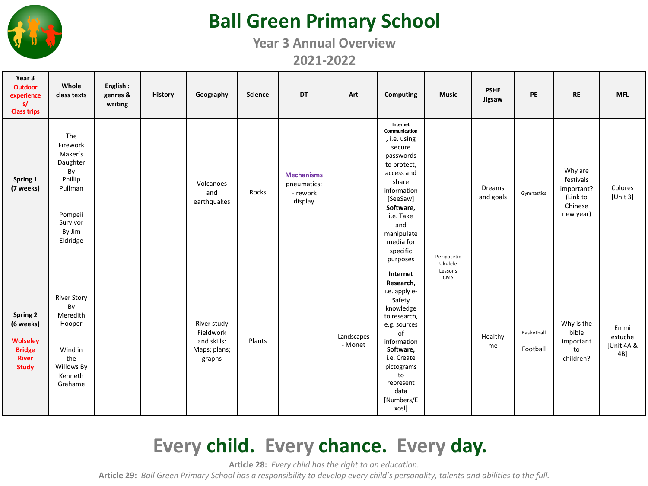

### **Ball Green Primary School**

**Year 3 Annual Overview 2021-2022**

| Year 3<br><b>Outdoor</b><br>experience<br>s/<br><b>Class trips</b>                        | Whole<br>class texts                                                                                            | English:<br>genres &<br>writing | History | Geography                                                         | Science | <b>DT</b>                                               | Art                   | Computing                                                                                                                                                                                                             | <b>Music</b>           | <b>PSHE</b><br>Jigsaw | PE                     | <b>RE</b>                                                              | <b>MFL</b>                               |
|-------------------------------------------------------------------------------------------|-----------------------------------------------------------------------------------------------------------------|---------------------------------|---------|-------------------------------------------------------------------|---------|---------------------------------------------------------|-----------------------|-----------------------------------------------------------------------------------------------------------------------------------------------------------------------------------------------------------------------|------------------------|-----------------------|------------------------|------------------------------------------------------------------------|------------------------------------------|
| Spring 1<br>(7 weeks)                                                                     | The<br>Firework<br>Maker's<br>Daughter<br>By<br>Phillip<br>Pullman<br>Pompeii<br>Survivor<br>By Jim<br>Eldridge |                                 |         | Volcanoes<br>and<br>earthquakes                                   | Rocks   | <b>Mechanisms</b><br>pneumatics:<br>Firework<br>display |                       | Internet<br>Communication<br>, i.e. using<br>secure<br>passwords<br>to protect,<br>access and<br>share<br>information<br>[SeeSaw]<br>Software,<br>i.e. Take<br>and<br>manipulate<br>media for<br>specific<br>purposes | Peripatetic<br>Ukulele | Dreams<br>and goals   | Gymnastics             | Why are<br>festivals<br>important?<br>(Link to<br>Chinese<br>new year) | Colores<br>[Unit 3]                      |
| Spring 2<br>(6 weeks)<br><b>Wolseley</b><br><b>Bridge</b><br><b>River</b><br><b>Study</b> | <b>River Story</b><br>By<br>Meredith<br>Hooper<br>Wind in<br>the<br>Willows By<br>Kenneth<br>Grahame            |                                 |         | River study<br>Fieldwork<br>and skills:<br>Maps; plans;<br>graphs | Plants  |                                                         | Landscapes<br>- Monet | Internet<br>Research,<br>i.e. apply e-<br>Safety<br>knowledge<br>to research,<br>e.g. sources<br>of<br>information<br>Software,<br>i.e. Create<br>pictograms<br>to<br>represent<br>data<br>[Numbers/E<br>xcel]        | Lessons<br>CMS         | Healthy<br>me         | Basketball<br>Football | Why is the<br>bible<br>important<br>to<br>children?                    | En mi<br>estuche<br>[Unit 4A &<br>$4B$ ] |

# **Every child. Every chance. Every day.**

**Article 28:** *Every child has the right to an education.*

**Article 29:** *Ball Green Primary School has a responsibility to develop every child's personality, talents and abilities to the full.*